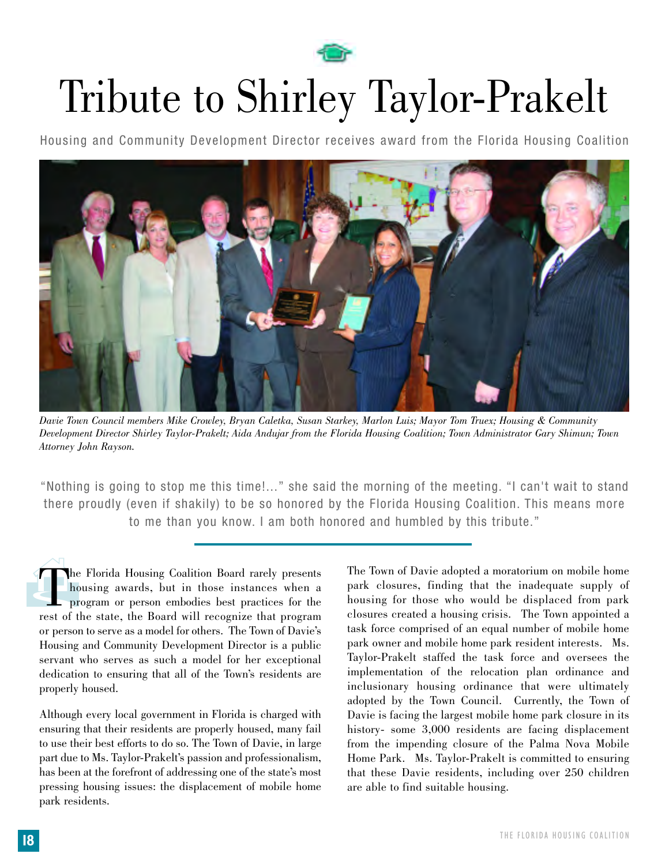

## Tribute to Shirley Taylor-Prakelt

Housing and Community Development Director receives award from the Florida Housing Coalition



*Davie Town Council members Mike Crowley, Bryan Caletka, Susan Starkey, Marlon Luis; Mayor Tom Truex; Housing & Community Development Director Shirley Taylor-Prakelt; Aida Andujar from the Florida Housing Coalition; Town Administrator Gary Shimun; Town Attorney John Rayson.* 

"Nothing is going to stop me this time!..." she said the morning of the meeting. "I can't wait to stand there proudly (even if shakily) to be so honored by the Florida Housing Coalition. This means more to me than you know. I am both honored and humbled by this tribute."

 $\prod_{p}^{h}$ The Florida Housing Coalition Board rarely presents<br>housing awards, but in those instances when a<br>program or person embodies best practices for the<br>rest of the state, the Board will recognize that program housing awards, but in those instances when a program or person embodies best practices for the rest of the state, the Board will recognize that program or person to serve as a model for others. The Town of Davie's Housing and Community Development Director is a public servant who serves as such a model for her exceptional dedication to ensuring that all of the Town's residents are properly housed.

Although every local government in Florida is charged with ensuring that their residents are properly housed, many fail to use their best efforts to do so. The Town of Davie, in large part due to Ms. Taylor-Prakelt's passion and professionalism, has been at the forefront of addressing one of the state's most pressing housing issues: the displacement of mobile home park residents.

The Town of Davie adopted a moratorium on mobile home park closures, finding that the inadequate supply of housing for those who would be displaced from park closures created a housing crisis. The Town appointed a task force comprised of an equal number of mobile home park owner and mobile home park resident interests. Ms. Taylor-Prakelt staffed the task force and oversees the implementation of the relocation plan ordinance and inclusionary housing ordinance that were ultimately adopted by the Town Council. Currently, the Town of Davie is facing the largest mobile home park closure in its history- some 3,000 residents are facing displacement from the impending closure of the Palma Nova Mobile Home Park. Ms. Taylor-Prakelt is committed to ensuring that these Davie residents, including over 250 children are able to find suitable housing.